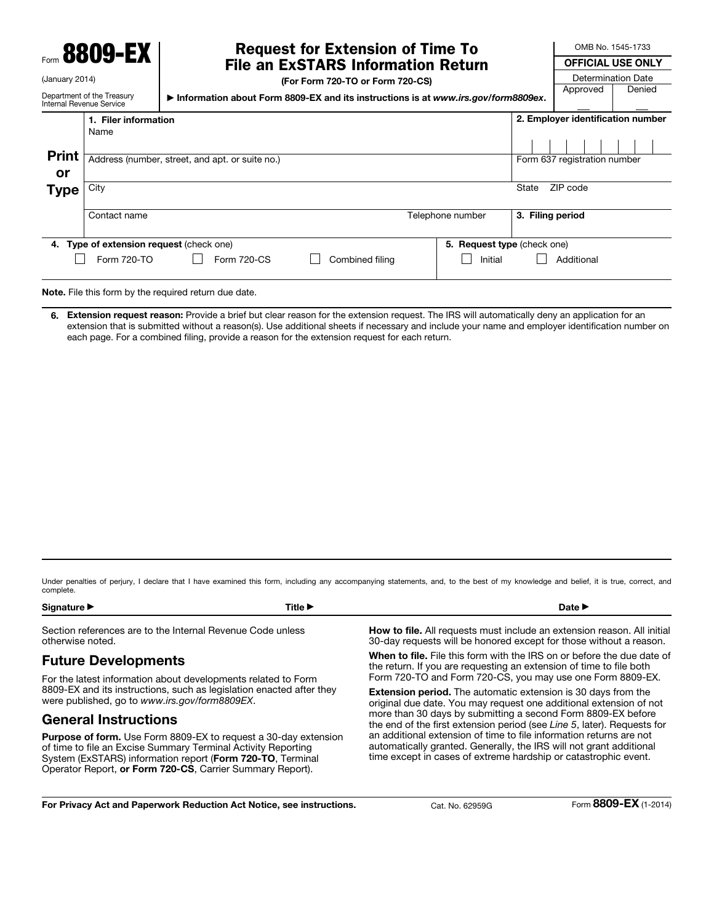Form 8809-EX

Name

1. Filer information

(January 2014)

Print or

Internal Revenue Service

# Request for Extension of Time To File an ExSTARS Information Return

Department of the Treasury

▶ Information about Form 8809-EX and its instructions is at *www.irs.gov/form8809ex*.

(For Form 720-TO or Form 720-CS) OFFICIAL USE ONLY Determination Date Approved Denied Address (number, street, and apt. or suite no.) Form 637 registration number 2. Employer identification number

| <b>Type</b> | City                                     |                  | State<br>ZIP code                      |  |  |  |  |  |
|-------------|------------------------------------------|------------------|----------------------------------------|--|--|--|--|--|
|             | Contact name                             | Telephone number | 3. Filing period                       |  |  |  |  |  |
|             | 4. Type of extension request (check one) |                  | 5. Request type (check one)            |  |  |  |  |  |
|             | Form 720-TO<br>Form 720-CS               | Combined filing  | $\mathcal{L}$<br>Additional<br>Initial |  |  |  |  |  |
|             |                                          |                  |                                        |  |  |  |  |  |

Note. File this form by the required return due date.

6. Extension request reason: Provide a brief but clear reason for the extension request. The IRS will automatically deny an application for an extension that is submitted without a reason(s). Use additional sheets if necessary and include your name and employer identification number on each page. For a combined filing, provide a reason for the extension request for each return.

Under penalties of perjury, I declare that I have examined this form, including any accompanying statements, and, to the best of my knowledge and belief, it is true, correct, and complete.

| . .<br>моваште | Title I | Date l<br>---- |
|----------------|---------|----------------|
|                |         |                |

Section references are to the Internal Revenue Code unless otherwise noted.

### Future Developments

For the latest information about developments related to Form 8809-EX and its instructions, such as legislation enacted after they were published, go to *www.irs.gov/form8809EX*.

## General Instructions

Purpose of form. Use Form 8809-EX to request a 30-day extension of time to file an Excise Summary Terminal Activity Reporting System (ExSTARS) information report (Form 720-TO, Terminal Operator Report, or Form 720-CS, Carrier Summary Report).

How to file. All requests must include an extension reason. All initial 30-day requests will be honored except for those without a reason.

When to file. File this form with the IRS on or before the due date of the return. If you are requesting an extension of time to file both Form 720-TO and Form 720-CS, you may use one Form 8809-EX.

Extension period. The automatic extension is 30 days from the original due date. You may request one additional extension of not more than 30 days by submitting a second Form 8809-EX before the end of the first extension period (see *Line 5*, later). Requests for an additional extension of time to file information returns are not automatically granted. Generally, the IRS will not grant additional time except in cases of extreme hardship or catastrophic event.

OMB No. 1545-1733